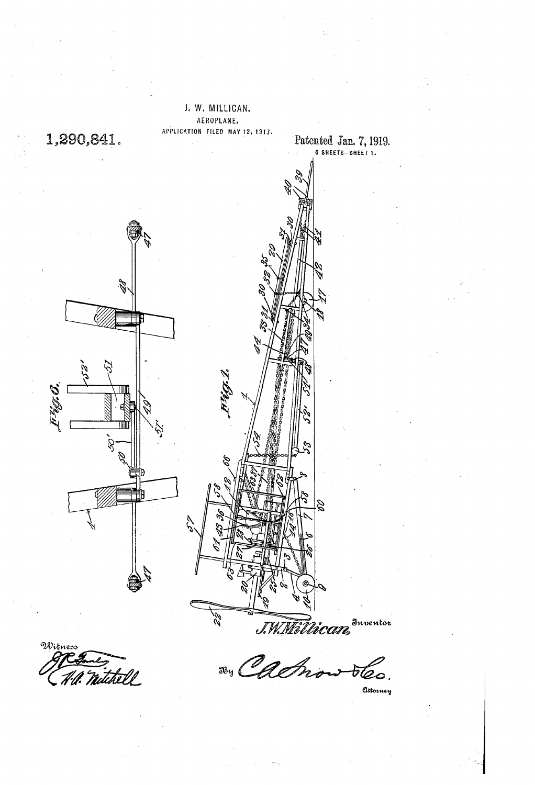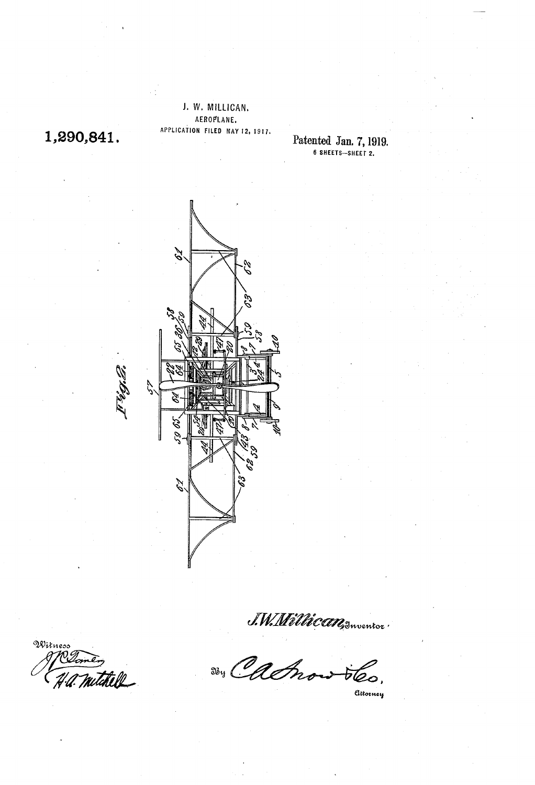## J. W. MLLICAN, AEROPLANE, APPLICATION FILED MAY 12, 197,

 $1,290,041.$  Patented Jan. 7, 1919. 6 SHEETS—SHEET 2.



Witness .<br>W

J.W. Willican Suventor

Attorney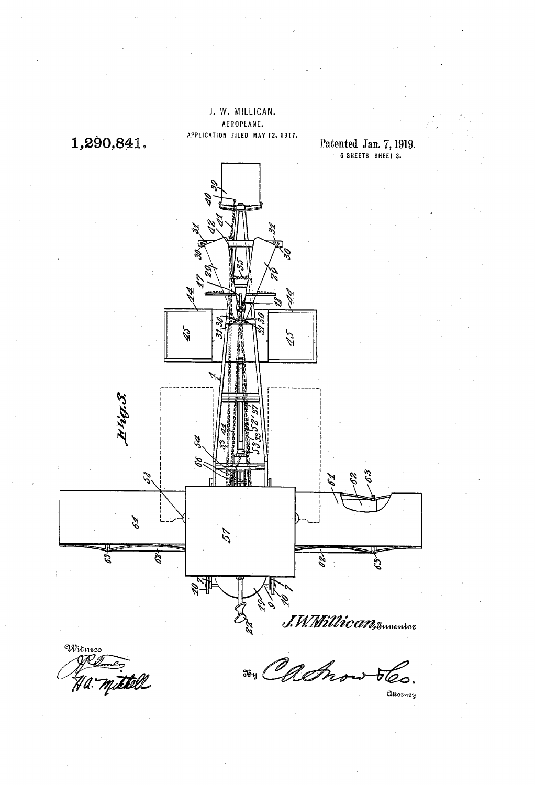

Witness<br>AM g Ha. mittell

Attorney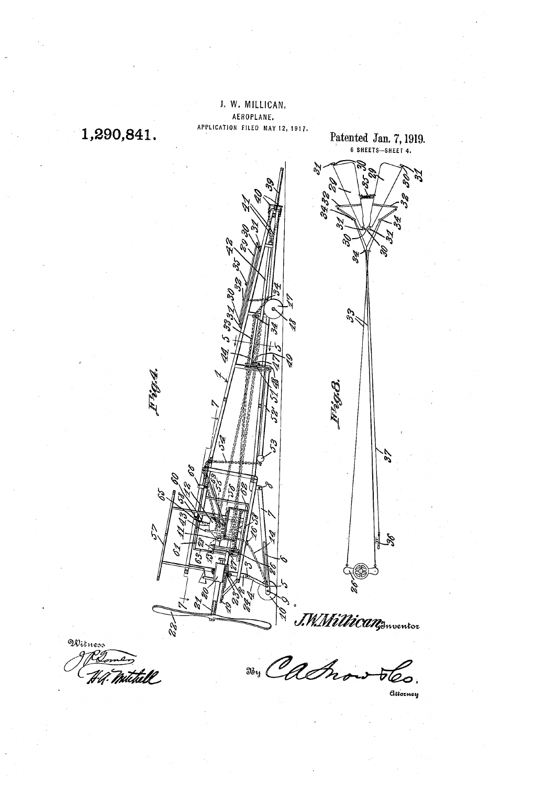

Attorney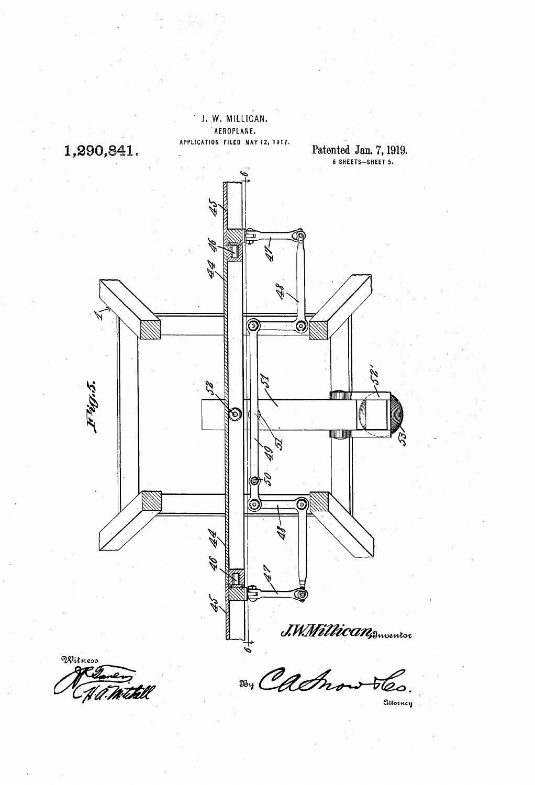

Withell

Attorney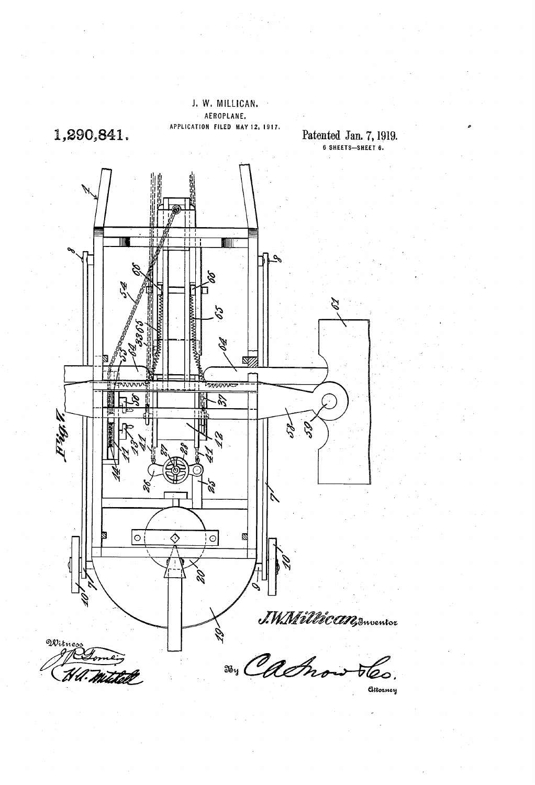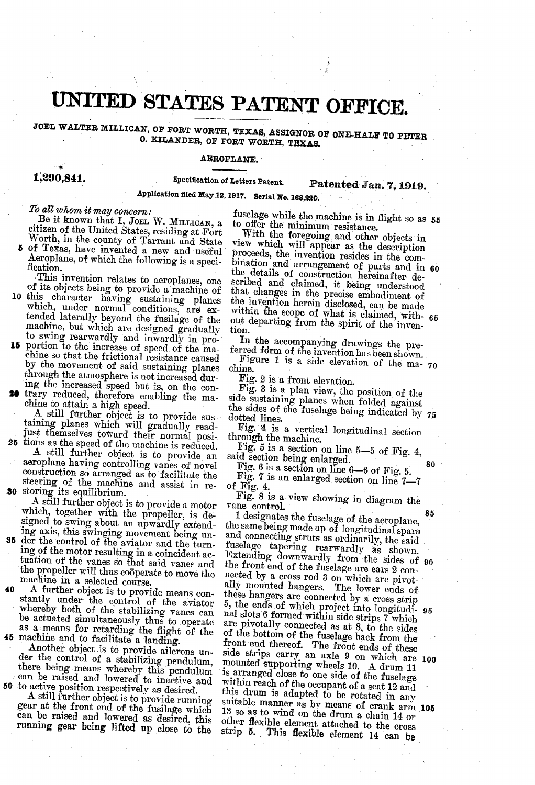## UNITED STATES PATENT OFFICE.

JOEL, WALTER MILLICAN, OF FORT WORTH, TEXAS, ASSIGNOR OF ONE-HALE TO PETER O, KILANDER, OF FORT WORTH, TEXAS.

### AEROPLANE,

## Patented Jan. 7, 1919.

# 1,290,841. Specification of Letters Patent.  $\mathbb{P}_i$ <br>Application filed May 12, 1917. Serial No. 168,220.

To all whom it may concern:<br>Be it known that  $I<sub>1</sub>$  Joel W. MILLICAN, a

eitizen of the United States, residing at Fort Worth, in the county of Tarrant and State of Texas, have invented a new and useful Aeroplane, of which the following is a specification.<br>This invention relates to aeroplanes,

- 0
- 15 portion to the increase of speed of the ma-This objects being to provide a machine of<br>this character having sustaining planes<br>this character having sustaining planes<br>which, under normal conditions, are ex-<br>tended laterally beyond the fusilage of the<br>machine, but wh
- 
- just themselves toward their normal posi-<br>25 tions as the speed of the machine is reduced. A still further object is to provide an aeroplane having controlling vanes of novel construction so arranged as to facilitate the steering of the machine and assist in re-<br>50 storing its equilibrium.

A still further object is to provide a motor which, together with the propeller, is designed to swing about an upwardly extending axis, this swinging movement being un-

- 35 der the control of the aviator and the turn machine in a selected course. ing of the motor resulting in a coincident actuation of the vanes so that said vanes and the propeller will thus coöperate to move the machine in a selected course.
- A further object is to provide means constantly under the control of the aviator whereby both of the stabilizing vanes can as a means for retarding the flight of the 45 machine and to facilitate a landing. be actuated simultaneously thus to operate

<sup>50</sup> to active position respectively as desired.

A still further object is to provide runnin gear at the front end of the fusilage which can be raised and lowered as desired, this running gear being lifted up close to the where while the machine is in flight so as 55

to offer the minimum resistance. With the foregoing and other objects in view which will appear as the description proceeds, the invention resides in the comthe details of construction hereinafter described and claimed, it being understood scribed and claimed, it being understood that changes in the precise embodiment of the invention herein disclosed, can be made within the scope of what is claimed, without departing from the spirit of the invention. bination and arrangement of parts and in 60 65

In the accompanying drawings the pre-<br>ferred form of the invention has been shown.<br>Figure 1 is a side elevation of the ma-<br>chine.<br>Fig. 2 is a front elevation.

Figure 1 is a side elevation of the ma- 70

Fig. 2 is a front elevation.<br>Fig. 3 is a plan view, the position of the side sustaining planes when folded against<br>the sides of the fuselage being indicated by 75<br>dotted lines.

Fig. 4 is a vertical longitudinal section<br>through the machine.<br>Fig. 5 is a section on line 5-5 of Fig. 4,

80

said section being enlarged.<br>Fig. 6 is a section on line 6-6 of Fig. 5.<br>Fig. 7 is an enlarged section on line 7-7<br>of Fig. 4.

Fig. 8 is a view showing in diagram the vane control.<br>1 designates the fuselage of the aeroplane,

Another object is to provide ailerons un-<br>der the control of a stabilizing pendulum, mounted supporting wheels 10. A drum 11<br>there being means whereby this pendulum is arranged close to one side of the fuselage<br>can be rais the same being made up of longitudinal spars and connecting struts as ordinarily, the said fuselage tapering rearwardly as shown.<br>Extending downwardly from the sides of  $90$ the front end of the fuselage are ears 2 con-<br>nected by a cross rod 3 on which are pivotnected by a cross rod 3 on which are pivot-<br>ally mounted hangers. The lower ends of<br>these hangers are connected by a cross strip<br>5, the ends of which project into longitudi-<br>are pivotally need within side strips 7 which<br>ar of the bottom of the fuselage back from the<br>of the bottom of the fuselage back from the<br>front end thereof. The front ends of these<br>side strips carry an axle 9 on which are<br>mounted supporting wheels 10. A drum 11<br>is arrange 13 so as to wind on the drum a chain 14 or other flexible element attached to the cross 95 100 suitable manner as by means of crank arm 105 strip 5, This flexible element 14 can be

85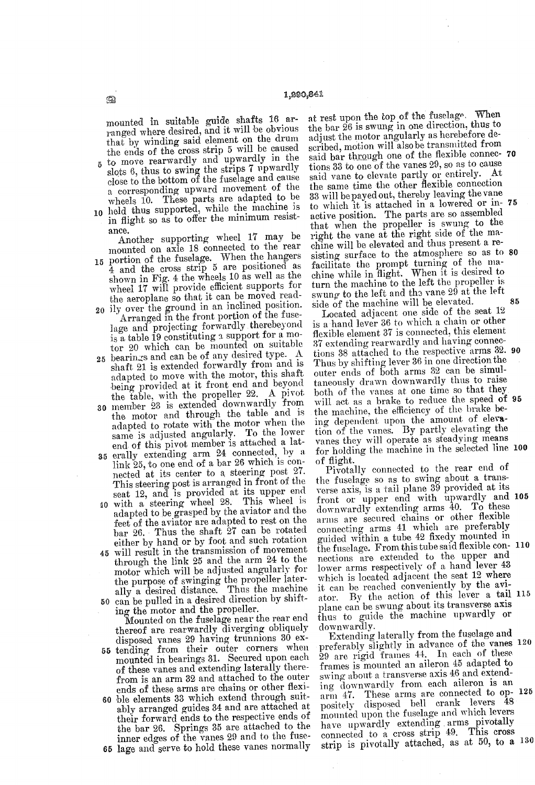mounted in suitable guide shafts 16 arranged where desired, and it will be obvious<br>that by winding said element on the drum<br>the ends of the cross strip 5 will be caused<br>to move rearwardly and upwardly in the<br>slots 6, thus

- a corresponding upward movement of the wheels 10. These parts are adapted to be
- $\mathbf{0}$ in flight so as to offer the minimum resistance.

Another supporting wheel 17 may be<br>mounted on axle 18 connected to the rear

- mounted on axle 18 connected to the rear<br>5 portion of the fuselage. When the hangers<br>4 and the cross strip 5 are positioned as
- 20 shown in Fig. 4 the wheels 10 as wen as the<br>wheel 17 will provide efficient supports for<br>the aeroplane so that it can be moved read-<br>ily over the ground in an inclined position.<br>Arranged in the front portion of the fuse-<br>l is a table 19 constituting a support for a motor  $20$  which can be mounted on suitable<br>tor  $20$  which can be of any desired type.
- 25 bearings and can be of any desired type. A adapted to move with the motor, this shart<br>being provided at it front end and beyond<br>the table, with the propeller 22. A pivot<br>30 member 23 is extended downwardly from shaft 21 is extended forwardly from and is adapted to move with the motor, this shaft
- the motor and through the table and is adapted to rotate with the motor when the same is adjusted angularly. To the lower<br>end of this pivot member is attached a lat-
- end of this pivot member is attached a late<br>35 erally extending arm 24 connected, by a link 25, to one end of a bar 26 which is connected at its center to a steering post 27.<br>This steering post is arranged in front of the
- 30 seat 12, and is provided at its upper end with a steering wheel 28. This wheel is adapted to be grasped by the aviator and the feet of the aviator are adapted to rest on the bar 26. Thus the shaft  $\overline{27}$  can be rotated either by hand or by foot and such rotation
- either by hand or by foot and such rotation<br>45 will result in the transmission of movement 50 can be pulled in a desired direction by shift-<br>ing the motor and the propeller. through the link 25 and the arm 24 to the<br>motor which will be adjusted angularly for motor which will be adjusted angularly for<br>the purpose of swinging the propeller laterally a desired distance. Thus the machine

55 60 ble elements 33 which extend through suitcan be putted in a destred direction by simi-<br>ing the motor and the propeller.<br>Mounted on the fuselage near the rear end<br>thereof are rearwardly diverging obliquely<br>disposed vanes 29 having trunnions 30 ex-<br>tending from the from is an arm 32 and attached to the outer ends of these arms are chains or other flexi

65 lage and serve to hold these vanes normally ably arranged guides 34 and are attached at their forward ends to the respective ends of the bar 26. Springs 35 are attached to the inner edges of the vanes 29 and to the fuse-

at rest upon the top of the fuselage. When<br>the bar 26 is swung in one direction, thus to the bar 26 is swung in one direction, thus to adjust the motor angularly as herebefore described, motion will also be transmitted from said bar through one of the flexible connec- 70 tions 33 to one of the vanes 29, so as to cause said vane to elevate partly or entirely. At the same time the other flexible connection 33 will be payed out, thereby leaving the vane to which it is attached in a lowered or  $\ln 75$ right the vane at the right side of the machine will be elevated and thus present a resisting surface to the atmosphere so as to facilitate the prompt turning of the machine while in flight. When it is desired to turn the machine to the left the propeller is swung to the left and the vane 29 at the left side of the machine will be elevated. sisting surface to the atmosphere so as to 80 85

Located adjacent one side of the seat 12 is a hand lever 36 to which a chain or other<br>flexible element 37 is connected, this element 37 extending rearwardly and having connections 38 attached to the respective arms 32. 90 Thus by shifting lever 36 in one direction the outer ends of both arms 32 can be simul taneously drawn downwardly thus to raise the machine, the efficiency of the brake being dependent upon the amount of elevation of the vanes. By partly elevating the vanes they will operate as steadying means for holding the machine in the selected line 100 will act as a brake to reduce the speed of 95

of flight. Pivotally connected to the rear end of the fuselage so as to swing about a trans verse axis, is a tail plane 39 provided at its<br>front or upper end with upwardly and 105<br>downwardly extending arms 40. To these arms are secured chains or other flexible connecting arms 41 which are preferably guided within a tube 42 fixedy mounted in nections are extended to the upper and lower arms respectively of a hand lever 43 which is located adjacent the seat 12 where it can be reached conveniently by the aviplane can be swung about its transverse axis<br>thus to guide the machine upwardly or<br>downwardly.<br>Extending laterally from the fuselage and the fuselage. From this tube said flexible con- 110 ator. By the action of this lever a tail 115

preferably slightly in advance of the wanes 20 frames is mounted an aileron 45 adapted to swing about a transverse axis 46 and extending downwardly from each aileron is an arm 47. These arms are connected to op-120<br>positely disposed bell crank levers 48<br>mounted upon the fuselage and which levers<br>have upwardly extending arms pivotally<br>connected to a cross strip 49. This cross<br>strip is pivotal arm 47. These arms are connected to op- 125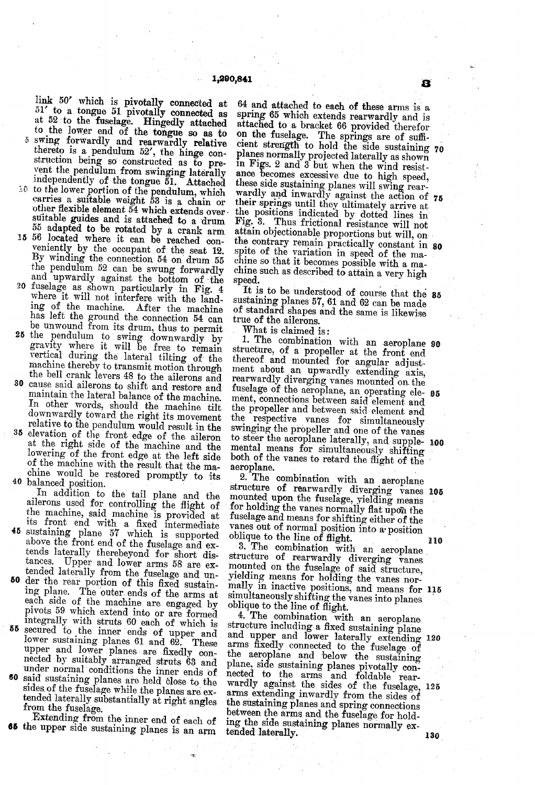to the lower end of the tongue so as to swing forwardly and rearwardly relative link 50' which is pivotally connected at  $51'$  to a tongue 51 pivotally connected as at 52 to the fuselage. Hingedly attached thereto is a pendulum 52', the hinge construction being so constructed as to prevent the pendulum from swinging laterally independently of the tongue 51. Attached 10 to the lower portion of the pendulum, which carries a suitable weight 53 is a chain or

cher flexible element  $\bar{54}$  which extends over suitable guides and is attached to a drum 55 adapted to be rotated by a crank arm 15 56 located where it can be reached con-

- veniently by the occupant of the seat 12. By winding the connection  $54$  on drum  $55$ the pendulum 52 can be swung forwardly and upwardly against the bottom of the
- 20 fuselage as shown particularly in Fig. 4 where it will not interfere with the landing of the machine. After the machine has left the ground the connection 54 can be unwound from its drum, thus to permit
- 25 the pendulum to swing downwardly by<br>
25 the pendulum to swing downwardly by<br>
gravity where it will be free to remain<br>
vertical during the lateral tilting of the<br>
machine thereby to transmit motion through<br>
the bell cran 30 cause said ailerons to shift and restore and
- 35 In other words, should the machine tilt downwardly toward the right its movement relative to the pendulum would result in the elevation of the front edge of the aileron maintain the lateral balance of the machine.<br>In other words, should the machine tilt at the right side of the machine and the lowering of the front edge at the left side of the machine with the result that the ma
- 40 balanced position. chine would be restored promptly to its balanced position.<br>In addition to the tail plane and the

In addition to the tall plane and the<br>ailerons used for controlling the flight of<br>the machine, said machine is provided at<br>its front end with a fixed intermediate<br>sustaining plane 57 which is supported<br>above the front end

- 45 tends laterally therebeyond for short distances. Upper and lower arms 58 are extended laterally from the fuselage and un-
- 60 der the rear portion of this fixed sustaining plane. The outer ends of the arms at der the rear portion of this fixed sustain ing plane. The outer ends of the arms at each side of the machine are engaged by pivots 59 which extend into or are formed integrally with struts 60 each of which is
- 55 secured to the inner ends of upper and lower sustaining planes 61 and 62. These upper and lower planes are fixedly connected by suitably arranged struts 63 and under normal conditions the inner ends of
- **60** said sustaining planes are held close to the sides of the fuselage while the planes are extended laterally substantially at right angles from the fuselage.<br>Extending from the inner end of each of the upper side sustai

65 the upper side sustaining planes is an arm

64 and attached to each of these arms is a spring 65 which extends rearwardly and is attached to a bracket 66 provided therefor on the fuselage. The springs are of sufficient strength to hold the side sustaining planes normally projected laterally as shown in Figs. 2 and 3 but when the wind resistin Figs. 2 and 3 but when the wind resistance becomes excessive due to high speed, these side sustaining planes will swing rear-wardly and inwardly against the action of  $75$ their springs until they ultimately arrive at<br>the positions indicated by dotted lines in<br>Fig. 3. Thus frictional resistance will not<br>attain objectionable proportions but will, on 70 attain objectionable proportions but will, on<br>the contrary remain practically constant in 80 spite of the variation in speed of the ma-chine so that it becomes possible with a ma-chine such as described to attain a very high speed.

It is to be understood of course that the  $\frac{85}{100}$ sustaining planes 57, 61 and 62 can be made of standard shapes and the same is likewise true of the ailerons.

What is claimed is:

structure, of a propeller at the front end<br>thereof and mounted for angular adjust-<br>ment about an upwardly extending axis,<br>rearwardly diverging vanes mounted on the<br>fuselage of the aeroplane, an operating ele-<br>ment, connect the propeller and between said element and the respective vanes for simultaneously swinging the propeller and one of the vanes to steer the aeroplane laterally, and supple 1. The combination with an aeroplane 90 fuselage of the aeroplane, an operating ele- 95 mental means for simultaneously shifting both of the vanes to retard the flight of the aeroplane. both of the vanes to retard the flight of the

2. The combination with an aeroplane mounted upon the fuselage, yielding means<br>for holding the vanes normally flat upon the<br>fuselage and means for shifting either of the vanes out of normal position into a position oblique to the line of flight. structure of rearwardly diverging vanes 105

3. The combination with an aeroplane structure of rearwardly diverging vanes mounted on the fuselage of said structure, mally in inactive positions, and means for 115

yielding means for holding the vanes nor-<br>mally in inactive positions, and means for<br>simultaneously shifting the vanes into planes<br>oblique to the line of flight.<br>4. The combination with an aeroplane<br>structure including a f arms fixedly connected to the fuselage of the aeroplane and below the sustaining plane, side sustaining planes pivotally con nected to the arms and foldable rear wardly against the sides of the fuselage, 125 the sustaining planes and spring connections<br>between the arms and the fuselage for holding the side sustaining planes normally extended laterally. and upper and lower laterally extending 120

B